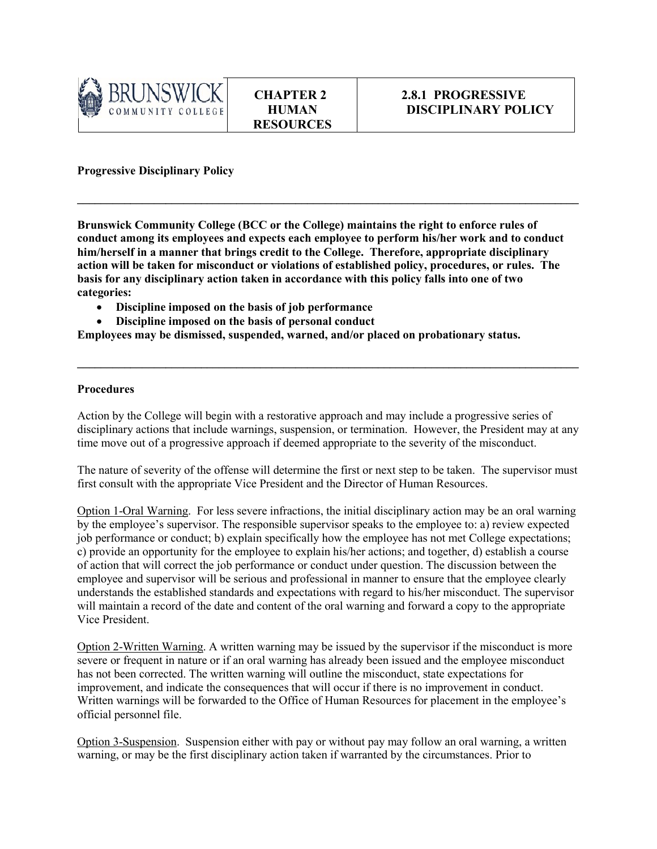

**Progressive Disciplinary Policy**

**Brunswick Community College (BCC or the College) maintains the right to enforce rules of conduct among its employees and expects each employee to perform his/her work and to conduct him/herself in a manner that brings credit to the College. Therefore, appropriate disciplinary action will be taken for misconduct or violations of established policy, procedures, or rules. The basis for any disciplinary action taken in accordance with this policy falls into one of two categories:**

**\_\_\_\_\_\_\_\_\_\_\_\_\_\_\_\_\_\_\_\_\_\_\_\_\_\_\_\_\_\_\_\_\_\_\_\_\_\_\_\_\_\_\_\_\_\_\_\_\_\_\_\_\_\_\_\_\_\_\_\_\_\_\_\_\_\_\_\_\_\_\_\_\_\_\_\_\_\_\_\_\_\_\_\_\_**

- **Discipline imposed on the basis of job performance**
- **Discipline imposed on the basis of personal conduct**

**Employees may be dismissed, suspended, warned, and/or placed on probationary status.** 

## **Procedures**

Action by the College will begin with a restorative approach and may include a progressive series of disciplinary actions that include warnings, suspension, or termination. However, the President may at any time move out of a progressive approach if deemed appropriate to the severity of the misconduct.

**\_\_\_\_\_\_\_\_\_\_\_\_\_\_\_\_\_\_\_\_\_\_\_\_\_\_\_\_\_\_\_\_\_\_\_\_\_\_\_\_\_\_\_\_\_\_\_\_\_\_\_\_\_\_\_\_\_\_\_\_\_\_\_\_\_\_\_\_\_\_\_\_\_\_\_\_\_\_\_\_\_\_\_\_\_**

The nature of severity of the offense will determine the first or next step to be taken. The supervisor must first consult with the appropriate Vice President and the Director of Human Resources.

Option 1-Oral Warning. For less severe infractions, the initial disciplinary action may be an oral warning by the employee's supervisor. The responsible supervisor speaks to the employee to: a) review expected job performance or conduct; b) explain specifically how the employee has not met College expectations; c) provide an opportunity for the employee to explain his/her actions; and together, d) establish a course of action that will correct the job performance or conduct under question. The discussion between the employee and supervisor will be serious and professional in manner to ensure that the employee clearly understands the established standards and expectations with regard to his/her misconduct. The supervisor will maintain a record of the date and content of the oral warning and forward a copy to the appropriate Vice President.

Option 2-Written Warning. A written warning may be issued by the supervisor if the misconduct is more severe or frequent in nature or if an oral warning has already been issued and the employee misconduct has not been corrected. The written warning will outline the misconduct, state expectations for improvement, and indicate the consequences that will occur if there is no improvement in conduct. Written warnings will be forwarded to the Office of Human Resources for placement in the employee's official personnel file.

Option 3-Suspension. Suspension either with pay or without pay may follow an oral warning, a written warning, or may be the first disciplinary action taken if warranted by the circumstances. Prior to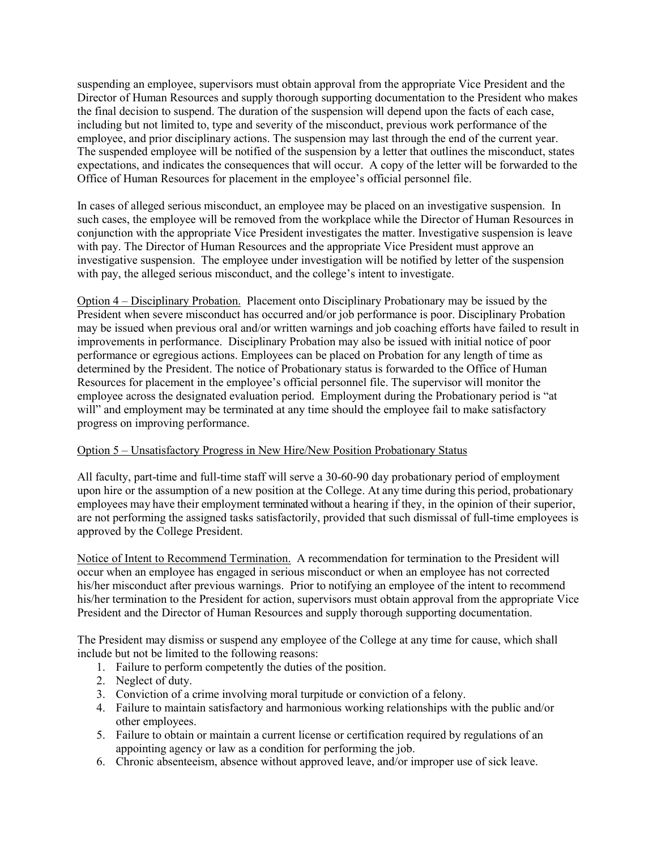suspending an employee, supervisors must obtain approval from the appropriate Vice President and the Director of Human Resources and supply thorough supporting documentation to the President who makes the final decision to suspend. The duration of the suspension will depend upon the facts of each case, including but not limited to, type and severity of the misconduct, previous work performance of the employee, and prior disciplinary actions. The suspension may last through the end of the current year. The suspended employee will be notified of the suspension by a letter that outlines the misconduct, states expectations, and indicates the consequences that will occur. A copy of the letter will be forwarded to the Office of Human Resources for placement in the employee's official personnel file.

In cases of alleged serious misconduct, an employee may be placed on an investigative suspension. In such cases, the employee will be removed from the workplace while the Director of Human Resources in conjunction with the appropriate Vice President investigates the matter. Investigative suspension is leave with pay. The Director of Human Resources and the appropriate Vice President must approve an investigative suspension. The employee under investigation will be notified by letter of the suspension with pay, the alleged serious misconduct, and the college's intent to investigate.

Option 4 – Disciplinary Probation. Placement onto Disciplinary Probationary may be issued by the President when severe misconduct has occurred and/or job performance is poor. Disciplinary Probation may be issued when previous oral and/or written warnings and job coaching efforts have failed to result in improvements in performance. Disciplinary Probation may also be issued with initial notice of poor performance or egregious actions. Employees can be placed on Probation for any length of time as determined by the President. The notice of Probationary status is forwarded to the Office of Human Resources for placement in the employee's official personnel file. The supervisor will monitor the employee across the designated evaluation period. Employment during the Probationary period is "at will" and employment may be terminated at any time should the employee fail to make satisfactory progress on improving performance.

## Option 5 – Unsatisfactory Progress in New Hire/New Position Probationary Status

All faculty, part-time and full-time staff will serve a 30-60-90 day probationary period of employment upon hire or the assumption of a new position at the College. At any time during this period, probationary employees may have their employment terminated without a hearing if they, in the opinion of their superior, are not performing the assigned tasks satisfactorily, provided that such dismissal of full-time employees is approved by the College President.

Notice of Intent to Recommend Termination. A recommendation for termination to the President will occur when an employee has engaged in serious misconduct or when an employee has not corrected his/her misconduct after previous warnings. Prior to notifying an employee of the intent to recommend his/her termination to the President for action, supervisors must obtain approval from the appropriate Vice President and the Director of Human Resources and supply thorough supporting documentation.

The President may dismiss or suspend any employee of the College at any time for cause, which shall include but not be limited to the following reasons:

- 1. Failure to perform competently the duties of the position.
- 2. Neglect of duty.
- 3. Conviction of a crime involving moral turpitude or conviction of a felony.
- 4. Failure to maintain satisfactory and harmonious working relationships with the public and/or other employees.
- 5. Failure to obtain or maintain a current license or certification required by regulations of an appointing agency or law as a condition for performing the job.
- 6. Chronic absenteeism, absence without approved leave, and/or improper use of sick leave.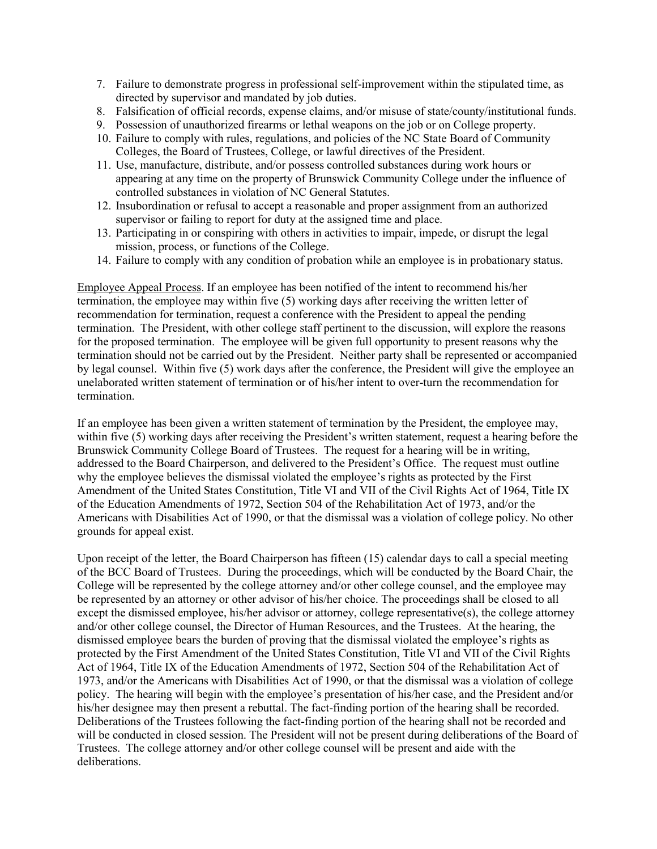- 7. Failure to demonstrate progress in professional self-improvement within the stipulated time, as directed by supervisor and mandated by job duties.
- 8. Falsification of official records, expense claims, and/or misuse of state/county/institutional funds.
- 9. Possession of unauthorized firearms or lethal weapons on the job or on College property.
- 10. Failure to comply with rules, regulations, and policies of the NC State Board of Community Colleges, the Board of Trustees, College, or lawful directives of the President.
- 11. Use, manufacture, distribute, and/or possess controlled substances during work hours or appearing at any time on the property of Brunswick Community College under the influence of controlled substances in violation of NC General Statutes.
- 12. Insubordination or refusal to accept a reasonable and proper assignment from an authorized supervisor or failing to report for duty at the assigned time and place.
- 13. Participating in or conspiring with others in activities to impair, impede, or disrupt the legal mission, process, or functions of the College.
- 14. Failure to comply with any condition of probation while an employee is in probationary status.

Employee Appeal Process. If an employee has been notified of the intent to recommend his/her termination, the employee may within five (5) working days after receiving the written letter of recommendation for termination, request a conference with the President to appeal the pending termination. The President, with other college staff pertinent to the discussion, will explore the reasons for the proposed termination. The employee will be given full opportunity to present reasons why the termination should not be carried out by the President. Neither party shall be represented or accompanied by legal counsel. Within five (5) work days after the conference, the President will give the employee an unelaborated written statement of termination or of his/her intent to over-turn the recommendation for termination.

If an employee has been given a written statement of termination by the President, the employee may, within five (5) working days after receiving the President's written statement, request a hearing before the Brunswick Community College Board of Trustees. The request for a hearing will be in writing, addressed to the Board Chairperson, and delivered to the President's Office. The request must outline why the employee believes the dismissal violated the employee's rights as protected by the First Amendment of the United States Constitution, Title VI and VII of the Civil Rights Act of 1964, Title IX of the Education Amendments of 1972, Section 504 of the Rehabilitation Act of 1973, and/or the Americans with Disabilities Act of 1990, or that the dismissal was a violation of college policy. No other grounds for appeal exist.

Upon receipt of the letter, the Board Chairperson has fifteen (15) calendar days to call a special meeting of the BCC Board of Trustees. During the proceedings, which will be conducted by the Board Chair, the College will be represented by the college attorney and/or other college counsel, and the employee may be represented by an attorney or other advisor of his/her choice. The proceedings shall be closed to all except the dismissed employee, his/her advisor or attorney, college representative(s), the college attorney and/or other college counsel, the Director of Human Resources, and the Trustees. At the hearing, the dismissed employee bears the burden of proving that the dismissal violated the employee's rights as protected by the First Amendment of the United States Constitution, Title VI and VII of the Civil Rights Act of 1964, Title IX of the Education Amendments of 1972, Section 504 of the Rehabilitation Act of 1973, and/or the Americans with Disabilities Act of 1990, or that the dismissal was a violation of college policy. The hearing will begin with the employee's presentation of his/her case, and the President and/or his/her designee may then present a rebuttal. The fact-finding portion of the hearing shall be recorded. Deliberations of the Trustees following the fact-finding portion of the hearing shall not be recorded and will be conducted in closed session. The President will not be present during deliberations of the Board of Trustees. The college attorney and/or other college counsel will be present and aide with the deliberations.